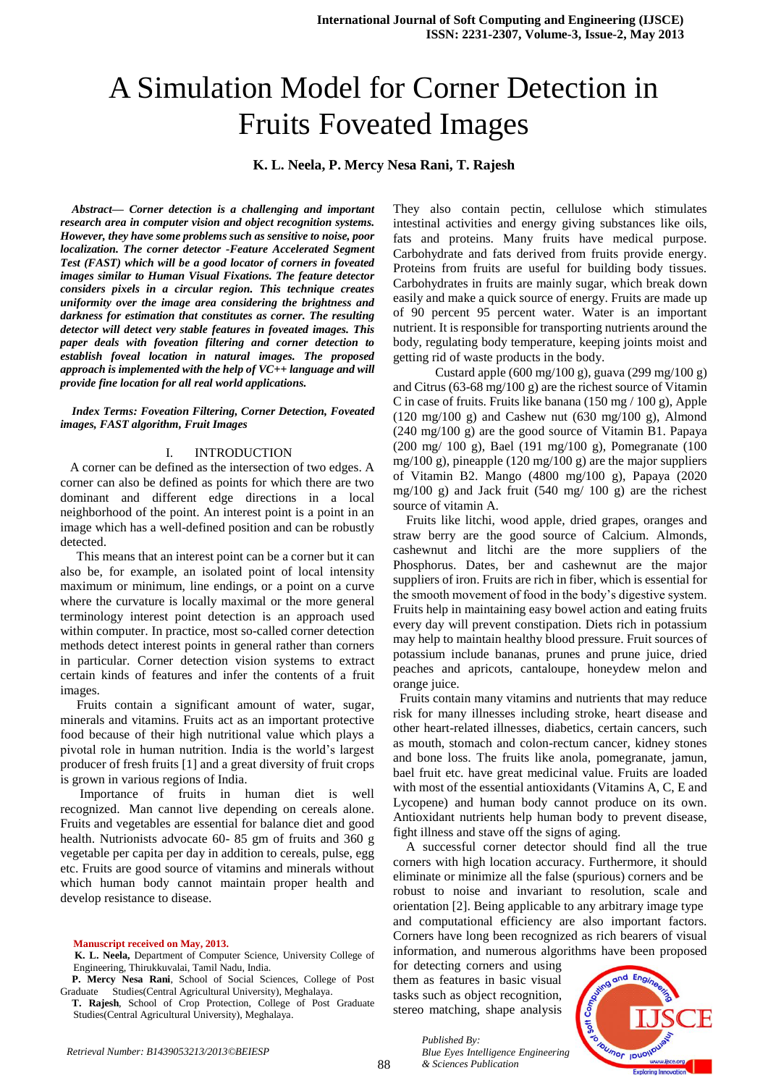# A Simulation Model for Corner Detection in Fruits Foveated Images

# **K. L. Neela, P. Mercy Nesa Rani, T. Rajesh**

*Abstract— Corner detection is a challenging and important research area in computer vision and object recognition systems. However, they have some problems such as sensitive to noise, poor localization. The corner detector -Feature Accelerated Segment Test (FAST) which will be a good locator of corners in foveated images similar to Human Visual Fixations. The feature detector considers pixels in a circular region. This technique creates uniformity over the image area considering the brightness and darkness for estimation that constitutes as corner. The resulting detector will detect very stable features in foveated images. This paper deals with foveation filtering and corner detection to establish foveal location in natural images. The proposed approach is implemented with the help of VC++ language and will provide fine location for all real world applications.*

*Index Terms: Foveation Filtering, Corner Detection, Foveated images, FAST algorithm, Fruit Images*

#### I. INTRODUCTION

 A corner can be defined as the intersection of two edges. A corner can also be defined as points for which there are two dominant and different edge directions in a local neighborhood of the point. An interest point is a point in an image which has a well-defined position and can be robustly detected.

 This means that an interest point can be a corner but it can also be, for example, an isolated point of local intensity maximum or minimum, line endings, or a point on a curve where the curvature is locally maximal or the more general terminology interest point detection is an approach used within computer. In practice, most so-called corner detection methods detect interest points in general rather than corners in particular. Corner detection vision systems to extract certain kinds of features and infer the contents of a fruit images.

 Fruits contain a significant amount of water, sugar, minerals and vitamins. Fruits act as an important protective food because of their high nutritional value which plays a pivotal role in human nutrition. India is the world's largest producer of fresh fruits [1] and a great diversity of fruit crops is grown in various regions of India.

 Importance of fruits in human diet is well recognized. Man cannot live depending on cereals alone. Fruits and vegetables are essential for balance diet and good health. Nutrionists advocate 60- 85 gm of fruits and 360 g vegetable per capita per day in addition to cereals, pulse, egg etc. Fruits are good source of vitamins and minerals without which human body cannot maintain proper health and develop resistance to disease.

**Manuscript received on May, 2013.**

They also contain pectin, cellulose which stimulates intestinal activities and energy giving substances like oils, fats and proteins. Many fruits have medical purpose. Carbohydrate and fats derived from fruits provide energy. Proteins from fruits are useful for building body tissues. Carbohydrates in fruits are mainly sugar, which break down easily and make a quick source of energy. Fruits are made up of 90 percent 95 percent water. Water is an important nutrient. It is responsible for transporting nutrients around the body, regulating body temperature, keeping joints moist and getting rid of waste products in the body.

 Custard apple (600 mg/100 g), guava (299 mg/100 g) and Citrus (63-68 mg/100 g) are the richest source of Vitamin C in case of fruits. Fruits like banana (150 mg / 100 g), Apple  $(120 \text{ mg}/100 \text{ g})$  and Cashew nut  $(630 \text{ mg}/100 \text{ g})$ , Almond (240 mg/100 g) are the good source of Vitamin B1. Papaya (200 mg/ 100 g), Bael (191 mg/100 g), Pomegranate (100 mg/100 g), pineapple (120 mg/100 g) are the major suppliers of Vitamin B2. Mango (4800 mg/100 g), Papaya (2020 mg/100 g) and Jack fruit (540 mg/ 100 g) are the richest source of vitamin A.

 Fruits like litchi, wood apple, dried grapes, oranges and straw berry are the good source of Calcium. Almonds, cashewnut and litchi are the more suppliers of the Phosphorus. Dates, ber and cashewnut are the major suppliers of iron. Fruits are rich in fiber, which is essential for the smooth movement of food in the body's digestive system. Fruits help in maintaining easy bowel action and eating fruits every day will prevent constipation. Diets rich in potassium may help to maintain healthy blood pressure. Fruit sources of potassium include bananas, prunes and prune juice, dried peaches and apricots, cantaloupe, honeydew melon and orange juice.

 Fruits contain many vitamins and nutrients that may reduce risk for many illnesses including stroke, heart disease and other heart-related illnesses, diabetics, certain cancers, such as mouth, stomach and colon-rectum cancer, kidney stones and bone loss. The fruits like anola, pomegranate, jamun, bael fruit etc. have great medicinal value. Fruits are loaded with most of the essential antioxidants (Vitamins A, C, E and Lycopene) and human body cannot produce on its own. Antioxidant nutrients help human body to prevent disease, fight illness and stave off the signs of aging.

 A successful corner detector should find all the true corners with high location accuracy. Furthermore, it should eliminate or minimize all the false (spurious) corners and be robust to noise and invariant to resolution, scale and orientation [2]. Being applicable to any arbitrary image type and computational efficiency are also important factors. Corners have long been recognized as rich bearers of visual information, and numerous algorithms have been proposed

for detecting corners and using them as features in basic visual tasks such as object recognition, stereo matching, shape analysis

*& Sciences Publication* 

*Blue Eyes Intelligence Engineering* 

*Published By:*



**K. L. Neela,** Department of Computer Science, University College of Engineering, Thirukkuvalai, Tamil Nadu, India.

**P. Mercy Nesa Rani**, School of Social Sciences, College of Post Graduate Studies(Central Agricultural University), Meghalaya.

**T. Rajesh**, School of Crop Protection, College of Post Graduate Studies(Central Agricultural University), Meghalaya.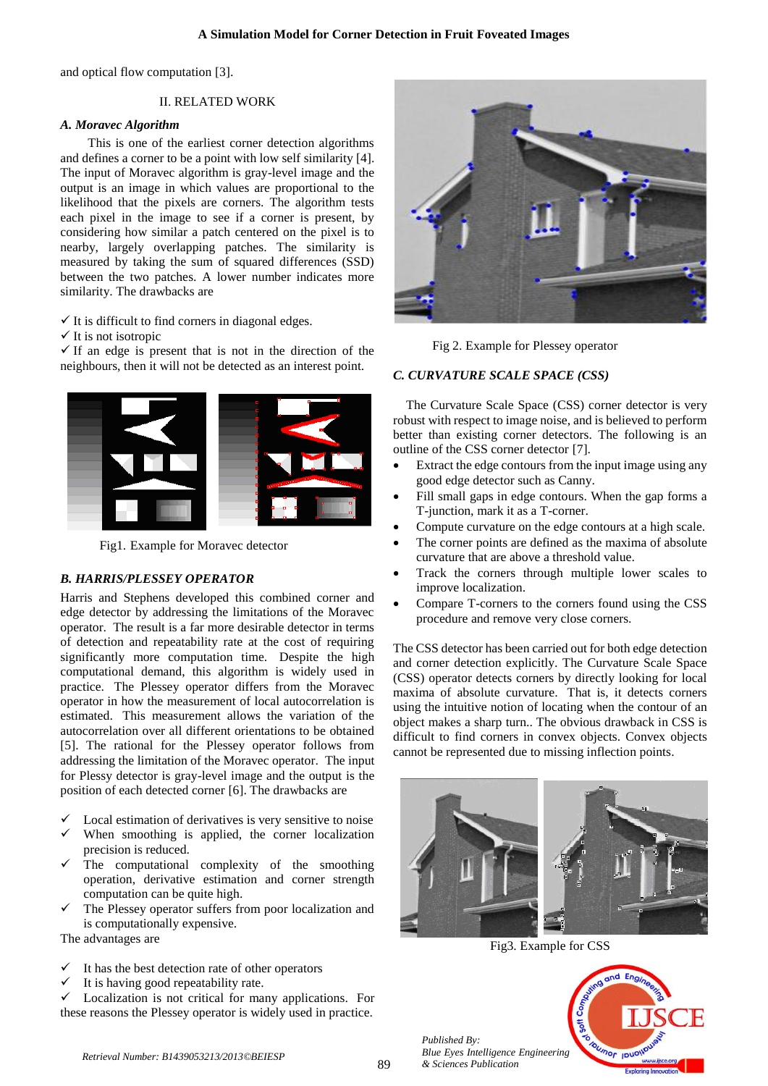and optical flow computation [3].

# II. RELATED WORK

# *A. Moravec Algorithm*

This is one of the earliest corner detection algorithms and defines a corner to be a point with low self similarity [4]. The input of Moravec algorithm is gray-level image and the output is an image in which values are proportional to the likelihood that the pixels are corners. The algorithm tests each pixel in the image to see if a corner is present, by considering how similar a patch centered on the pixel is to nearby, largely overlapping patches. The similarity is measured by taking the sum of squared differences (SSD) between the two patches. A lower number indicates more similarity. The drawbacks are

 $\checkmark$  It is difficult to find corners in diagonal edges.

 $\checkmark$  It is not isotropic

 $\checkmark$  If an edge is present that is not in the direction of the neighbours, then it will not be detected as an interest point.



Fig1. Example for Moravec detector

# *B. HARRIS/PLESSEY OPERATOR*

Harris and Stephens developed this combined corner and edge detector by addressing the limitations of the Moravec operator. The result is a far more desirable detector in terms of detection and repeatability rate at the cost of requiring significantly more computation time. Despite the high computational demand, this algorithm is widely used in practice. The Plessey operator differs from the Moravec operator in how the measurement of local autocorrelation is estimated. This measurement allows the variation of the autocorrelation over all different orientations to be obtained [5]. The rational for the Plessey operator follows from addressing the limitation of the Moravec operator. The input for Plessy detector is gray-level image and the output is the position of each detected corner [6]. The drawbacks are

- Local estimation of derivatives is very sensitive to noise
- When smoothing is applied, the corner localization precision is reduced.
- The computational complexity of the smoothing operation, derivative estimation and corner strength computation can be quite high.
- The Plessey operator suffers from poor localization and is computationally expensive.

The advantages are

- It has the best detection rate of other operators
- It is having good repeatability rate.

 $\checkmark$  Localization is not critical for many applications. For these reasons the Plessey operator is widely used in practice.



Fig 2. Example for Plessey operator

# *C. CURVATURE SCALE SPACE (CSS)*

The Curvature Scale Space (CSS) corner detector is very robust with respect to image noise, and is believed to perform better than existing corner detectors. The following is an outline of the CSS corner detector [7].

- Extract the edge contours from the input image using any good edge detector such as Canny.
- Fill small gaps in edge contours. When the gap forms a T-junction, mark it as a T-corner.
- Compute curvature on the edge contours at a high scale.
- The corner points are defined as the maxima of absolute curvature that are above a threshold value.
- Track the corners through multiple lower scales to improve localization.
- Compare T-corners to the corners found using the CSS procedure and remove very close corners.

The CSS detector has been carried out for both edge detection and corner detection explicitly. The Curvature Scale Space (CSS) operator detects corners by directly looking for local maxima of absolute curvature. That is, it detects corners using the intuitive notion of locating when the contour of an object makes a sharp turn.. The obvious drawback in CSS is difficult to find corners in convex objects. Convex objects cannot be represented due to missing inflection points.



Fig3. Example for CSS

 $\frac{1}{2}$ 

*Published By: Blue Eyes Intelligence Engineering & Sciences Publication* 

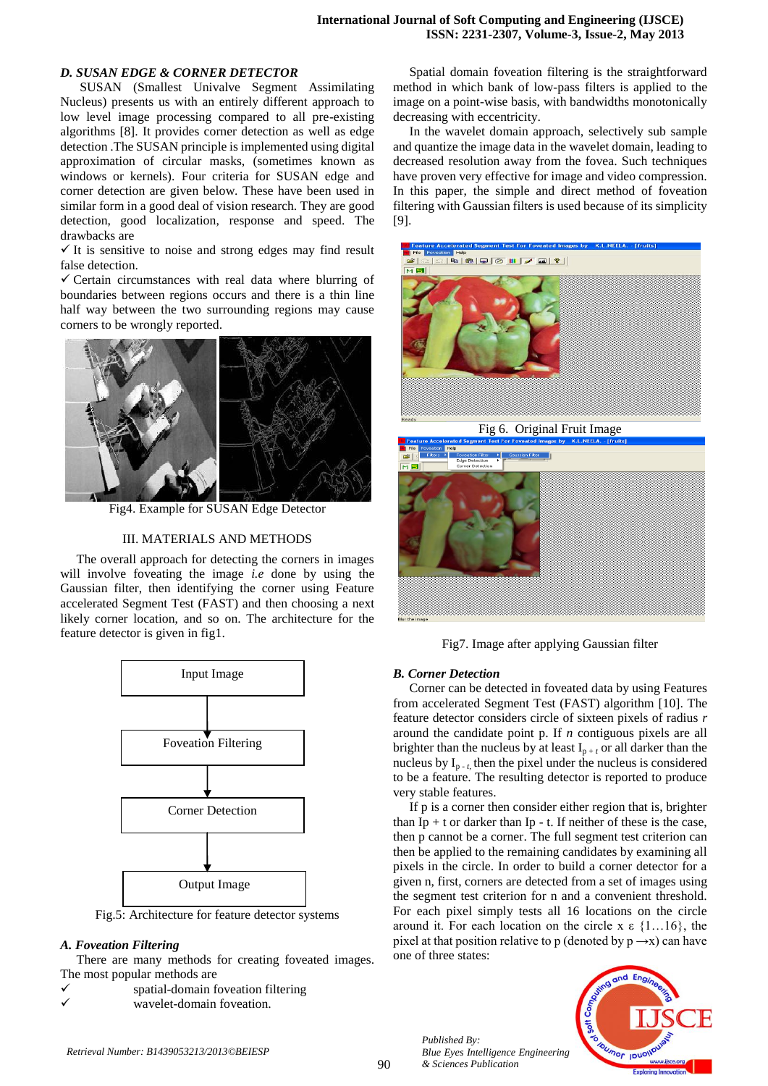# *D. SUSAN EDGE & CORNER DETECTOR*

SUSAN (Smallest Univalve Segment Assimilating Nucleus) presents us with an entirely different approach to low level image processing compared to all pre-existing algorithms [8]. It provides corner detection as well as edge detection .The SUSAN principle is implemented using digital approximation of circular masks, (sometimes known as windows or kernels). Four criteria for SUSAN edge and corner detection are given below. These have been used in similar form in a good deal of vision research. They are good detection, good localization, response and speed. The drawbacks are

 $\checkmark$  It is sensitive to noise and strong edges may find result false detection.

 $\checkmark$  Certain circumstances with real data where blurring of boundaries between regions occurs and there is a thin line half way between the two surrounding regions may cause corners to be wrongly reported.



Fig4. Example for SUSAN Edge Detector

#### III. MATERIALS AND METHODS

The overall approach for detecting the corners in images will involve foveating the image *i.e* done by using the Gaussian filter, then identifying the corner using Feature accelerated Segment Test (FAST) and then choosing a next likely corner location, and so on. The architecture for the feature detector is given in fig1.



Fig.5: Architecture for feature detector systems

#### *A. Foveation Filtering*

There are many methods for creating foveated images. The most popular methods are

| ✓ | spatial-domain foveation filtering |
|---|------------------------------------|
| ✓ | wavelet-domain foveation.          |

 Spatial domain foveation filtering is the straightforward method in which bank of low-pass filters is applied to the image on a point-wise basis, with bandwidths monotonically decreasing with eccentricity.

 In the wavelet domain approach, selectively sub sample and quantize the image data in the wavelet domain, leading to decreased resolution away from the fovea. Such techniques have proven very effective for image and video compression. In this paper, the simple and direct method of foveation filtering with Gaussian filters is used because of its simplicity [9].



Fig7. Image after applying Gaussian filter

#### *B. Corner Detection*

 Corner can be detected in foveated data by using Features from accelerated Segment Test (FAST) algorithm [10]. The feature detector considers circle of sixteen pixels of radius *r* around the candidate point p. If *n* contiguous pixels are all brighter than the nucleus by at least  $I_{p+1}$  or all darker than the nucleus by  $I_{p-t}$ , then the pixel under the nucleus is considered to be a feature. The resulting detector is reported to produce very stable features.

 If p is a corner then consider either region that is, brighter than  $Ip + t$  or darker than  $Ip - t$ . If neither of these is the case, then p cannot be a corner. The full segment test criterion can then be applied to the remaining candidates by examining all pixels in the circle. In order to build a corner detector for a given n, first, corners are detected from a set of images using the segment test criterion for n and a convenient threshold. For each pixel simply tests all 16 locations on the circle around it. For each location on the circle x  $\epsilon$  {1...16}, the pixel at that position relative to p (denoted by  $p \rightarrow x$ ) can have one of three states:

*Published By: Blue Eyes Intelligence Engineering & Sciences Publication*